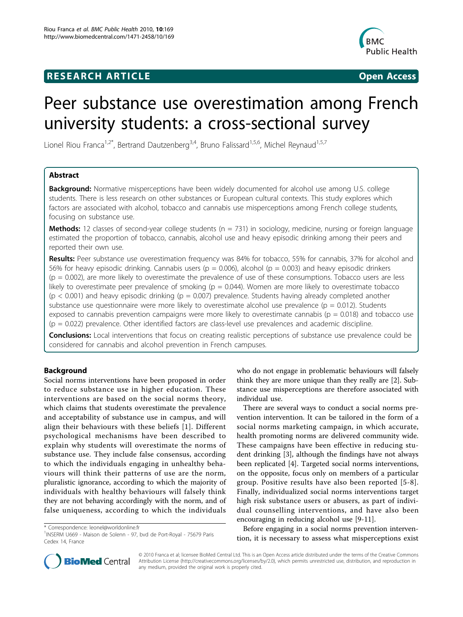## **RESEARCH ARTICLE Example 2018 CONSUMING ACCESS**



# Peer substance use overestimation among French university students: a cross-sectional survey

Lionel Riou Franca<sup>1,2\*</sup>, Bertrand Dautzenberg<sup>3,4</sup>, Bruno Falissard<sup>1,5,6</sup>, Michel Reynaud<sup>1,5,7</sup>

## Abstract

**Background:** Normative misperceptions have been widely documented for alcohol use among U.S. college students. There is less research on other substances or European cultural contexts. This study explores which factors are associated with alcohol, tobacco and cannabis use misperceptions among French college students, focusing on substance use.

**Methods:** 12 classes of second-year college students ( $n = 731$ ) in sociology, medicine, nursing or foreign language estimated the proportion of tobacco, cannabis, alcohol use and heavy episodic drinking among their peers and reported their own use.

Results: Peer substance use overestimation frequency was 84% for tobacco, 55% for cannabis, 37% for alcohol and 56% for heavy episodic drinking. Cannabis users ( $p = 0.006$ ), alcohol ( $p = 0.003$ ) and heavy episodic drinkers  $(p = 0.002)$ , are more likely to overestimate the prevalence of use of these consumptions. Tobacco users are less likely to overestimate peer prevalence of smoking ( $p = 0.044$ ). Women are more likely to overestimate tobacco  $(p < 0.001)$  and heavy episodic drinking  $(p = 0.007)$  prevalence. Students having already completed another substance use questionnaire were more likely to overestimate alcohol use prevalence ( $p = 0.012$ ). Students exposed to cannabis prevention campaigns were more likely to overestimate cannabis ( $p = 0.018$ ) and tobacco use  $(p = 0.022)$  prevalence. Other identified factors are class-level use prevalences and academic discipline.

**Conclusions:** Local interventions that focus on creating realistic perceptions of substance use prevalence could be considered for cannabis and alcohol prevention in French campuses.

## Background

Social norms interventions have been proposed in order to reduce substance use in higher education. These interventions are based on the social norms theory, which claims that students overestimate the prevalence and acceptability of substance use in campus, and will align their behaviours with these beliefs [[1\]](#page-8-0). Different psychological mechanisms have been described to explain why students will overestimate the norms of substance use. They include false consensus, according to which the individuals engaging in unhealthy behaviours will think their patterns of use are the norm, pluralistic ignorance, according to which the majority of individuals with healthy behaviours will falsely think they are not behaving accordingly with the norm, and of false uniqueness, according to which the individuals

\* Correspondence: [leonel@worldonline.fr](mailto:leonel@worldonline.fr)

<sup>1</sup>INSERM U669 - Maison de Solenn - 97, bvd de Port-Royal - 75679 Paris Cedex 14, France

who do not engage in problematic behaviours will falsely think they are more unique than they really are [\[2](#page-8-0)]. Substance use misperceptions are therefore associated with individual use.

There are several ways to conduct a social norms prevention intervention. It can be tailored in the form of a social norms marketing campaign, in which accurate, health promoting norms are delivered community wide. These campaigns have been effective in reducing student drinking [[3](#page-8-0)], although the findings have not always been replicated [[4\]](#page-8-0). Targeted social norms interventions, on the opposite, focus only on members of a particular group. Positive results have also been reported [[5-8\]](#page-8-0). Finally, individualized social norms interventions target high risk substance users or abusers, as part of individual counselling interventions, and have also been encouraging in reducing alcohol use [\[9](#page-8-0)-[11](#page-8-0)].

Before engaging in a social norms prevention intervention, it is necessary to assess what misperceptions exist



© 2010 Franca et al; licensee BioMed Central Ltd. This is an Open Access article distributed under the terms of the Creative Commons Attribution License [\(http://creativecommons.org/licenses/by/2.0](http://creativecommons.org/licenses/by/2.0)), which permits unrestricted use, distribution, and reproduction in any medium, provided the original work is properly cited.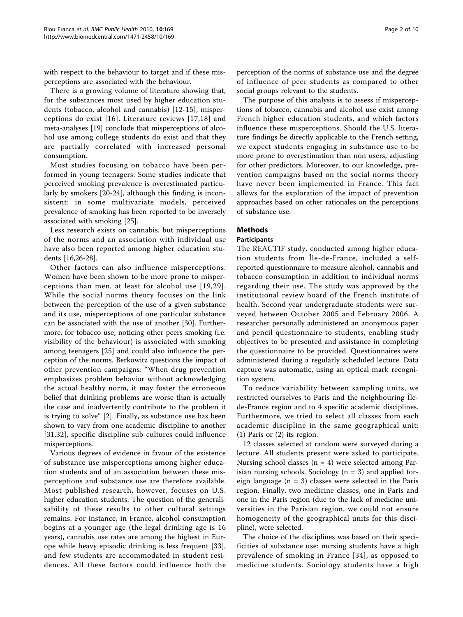with respect to the behaviour to target and if these misperceptions are associated with the behaviour.

There is a growing volume of literature showing that, for the substances most used by higher education students (tobacco, alcohol and cannabis) [[12](#page-9-0)-[15](#page-9-0)], misperceptions do exist [[16\]](#page-9-0). Literature reviews [[17,18\]](#page-9-0) and meta-analyses [[19](#page-9-0)] conclude that misperceptions of alcohol use among college students do exist and that they are partially correlated with increased personal consumption.

Most studies focusing on tobacco have been performed in young teenagers. Some studies indicate that perceived smoking prevalence is overestimated particularly by smokers [[20-24\]](#page-9-0), although this finding is inconsistent: in some multivariate models, perceived prevalence of smoking has been reported to be inversely associated with smoking [[25\]](#page-9-0).

Less research exists on cannabis, but misperceptions of the norms and an association with individual use have also been reported among higher education students [[16,26-28\]](#page-9-0).

Other factors can also influence misperceptions. Women have been shown to be more prone to misperceptions than men, at least for alcohol use [[19](#page-9-0),[29\]](#page-9-0). While the social norms theory focuses on the link between the perception of the use of a given substance and its use, misperceptions of one particular substance can be associated with the use of another [\[30](#page-9-0)]. Furthermore, for tobacco use, noticing other peers smoking (i.e. visibility of the behaviour) is associated with smoking among teenagers [[25](#page-9-0)] and could also influence the perception of the norms. Berkowitz questions the impact of other prevention campaigns: "When drug prevention emphasizes problem behavior without acknowledging the actual healthy norm, it may foster the erroneous belief that drinking problems are worse than is actually the case and inadvertently contribute to the problem it is trying to solve" [\[2\]](#page-8-0). Finally, as substance use has been shown to vary from one academic discipline to another [[31,32](#page-9-0)], specific discipline sub-cultures could influence misperceptions.

Various degrees of evidence in favour of the existence of substance use misperceptions among higher education students and of an association between these misperceptions and substance use are therefore available. Most published research, however, focuses on U.S. higher education students. The question of the generalisability of these results to other cultural settings remains. For instance, in France, alcohol consumption begins at a younger age (the legal drinking age is 16 years), cannabis use rates are among the highest in Europe while heavy episodic drinking is less frequent [[33](#page-9-0)], and few students are accommodated in student residences. All these factors could influence both the perception of the norms of substance use and the degree of influence of peer students as compared to other social groups relevant to the students.

The purpose of this analysis is to assess if misperceptions of tobacco, cannabis and alcohol use exist among French higher education students, and which factors influence these misperceptions. Should the U.S. literature findings be directly applicable to the French setting, we expect students engaging in substance use to be more prone to overestimation than non users, adjusting for other predictors. Moreover, to our knowledge, prevention campaigns based on the social norms theory have never been implemented in France. This fact allows for the exploration of the impact of prevention approaches based on other rationales on the perceptions of substance use.

## Methods

#### Participants

The REACTIF study, conducted among higher education students from Île-de-France, included a selfreported questionnaire to measure alcohol, cannabis and tobacco consumption in addition to individual norms regarding their use. The study was approved by the institutional review board of the French institute of health. Second year undergraduate students were surveyed between October 2005 and February 2006. A researcher personally administered an anonymous paper and pencil questionnaire to students, enabling study objectives to be presented and assistance in completing the questionnaire to be provided. Questionnaires were administered during a regularly scheduled lecture. Data capture was automatic, using an optical mark recognition system.

To reduce variability between sampling units, we restricted ourselves to Paris and the neighbouring Îlede-France region and to 4 specific academic disciplines. Furthermore, we tried to select all classes from each academic discipline in the same geographical unit: (1) Paris or (2) its region.

12 classes selected at random were surveyed during a lecture. All students present were asked to participate. Nursing school classes ( $n = 4$ ) were selected among Parisian nursing schools. Sociology ( $n = 3$ ) and applied foreign language ( $n = 3$ ) classes were selected in the Paris region. Finally, two medicine classes, one in Paris and one in the Paris region (due to the lack of medicine universities in the Parisian region, we could not ensure homogeneity of the geographical units for this discipline), were selected.

The choice of the disciplines was based on their specificities of substance use: nursing students have a high prevalence of smoking in France [[34\]](#page-9-0), as opposed to medicine students. Sociology students have a high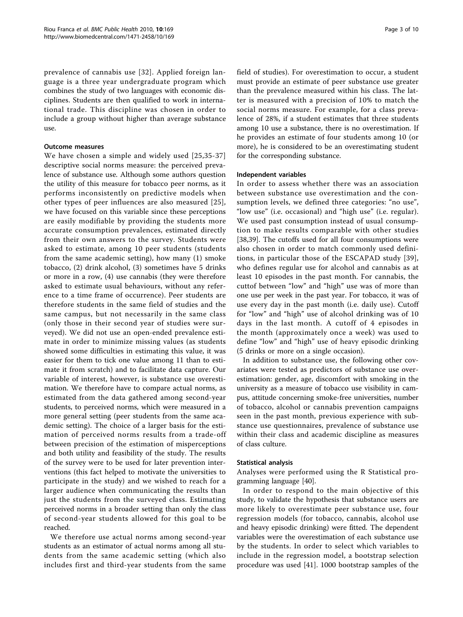prevalence of cannabis use [[32](#page-9-0)]. Applied foreign language is a three year undergraduate program which combines the study of two languages with economic disciplines. Students are then qualified to work in international trade. This discipline was chosen in order to include a group without higher than average substance use.

## Outcome measures

We have chosen a simple and widely used [[25](#page-9-0),[35](#page-9-0)-[37](#page-9-0)] descriptive social norms measure: the perceived prevalence of substance use. Although some authors question the utility of this measure for tobacco peer norms, as it performs inconsistently on predictive models when other types of peer influences are also measured [[25\]](#page-9-0), we have focused on this variable since these perceptions are easily modifiable by providing the students more accurate consumption prevalences, estimated directly from their own answers to the survey. Students were asked to estimate, among 10 peer students (students from the same academic setting), how many (1) smoke tobacco, (2) drink alcohol, (3) sometimes have 5 drinks or more in a row, (4) use cannabis (they were therefore asked to estimate usual behaviours, without any reference to a time frame of occurrence). Peer students are therefore students in the same field of studies and the same campus, but not necessarily in the same class (only those in their second year of studies were surveyed). We did not use an open-ended prevalence estimate in order to minimize missing values (as students showed some difficulties in estimating this value, it was easier for them to tick one value among 11 than to estimate it from scratch) and to facilitate data capture. Our variable of interest, however, is substance use overestimation. We therefore have to compare actual norms, as estimated from the data gathered among second-year students, to perceived norms, which were measured in a more general setting (peer students from the same academic setting). The choice of a larger basis for the estimation of perceived norms results from a trade-off between precision of the estimation of misperceptions and both utility and feasibility of the study. The results of the survey were to be used for later prevention interventions (this fact helped to motivate the universities to participate in the study) and we wished to reach for a larger audience when communicating the results than just the students from the surveyed class. Estimating perceived norms in a broader setting than only the class of second-year students allowed for this goal to be reached.

We therefore use actual norms among second-year students as an estimator of actual norms among all students from the same academic setting (which also includes first and third-year students from the same field of studies). For overestimation to occur, a student must provide an estimate of peer substance use greater than the prevalence measured within his class. The latter is measured with a precision of 10% to match the social norms measure. For example, for a class prevalence of 28%, if a student estimates that three students among 10 use a substance, there is no overestimation. If he provides an estimate of four students among 10 (or more), he is considered to be an overestimating student for the corresponding substance.

## Independent variables

In order to assess whether there was an association between substance use overestimation and the consumption levels, we defined three categories: "no use", "low use" (i.e. occasional) and "high use" (i.e. regular). We used past consumption instead of usual consumption to make results comparable with other studies [[38,39\]](#page-9-0). The cutoffs used for all four consumptions were also chosen in order to match commonly used definitions, in particular those of the ESCAPAD study [[39\]](#page-9-0), who defines regular use for alcohol and cannabis as at least 10 episodes in the past month. For cannabis, the cuttof between "low" and "high" use was of more than one use per week in the past year. For tobacco, it was of use every day in the past month (i.e. daily use). Cutoff for "low" and "high" use of alcohol drinking was of 10 days in the last month. A cutoff of 4 episodes in the month (approximately once a week) was used to define "low" and "high" use of heavy episodic drinking (5 drinks or more on a single occasion).

In addition to substance use, the following other covariates were tested as predictors of substance use overestimation: gender, age, discomfort with smoking in the university as a measure of tobacco use visibility in campus, attitude concerning smoke-free universities, number of tobacco, alcohol or cannabis prevention campaigns seen in the past month, previous experience with substance use questionnaires, prevalence of substance use within their class and academic discipline as measures of class culture.

#### Statistical analysis

Analyses were performed using the R Statistical programming language [[40](#page-9-0)].

In order to respond to the main objective of this study, to validate the hypothesis that substance users are more likely to overestimate peer substance use, four regression models (for tobacco, cannabis, alcohol use and heavy episodic drinking) were fitted. The dependent variables were the overestimation of each substance use by the students. In order to select which variables to include in the regression model, a bootstrap selection procedure was used [[41\]](#page-9-0). 1000 bootstrap samples of the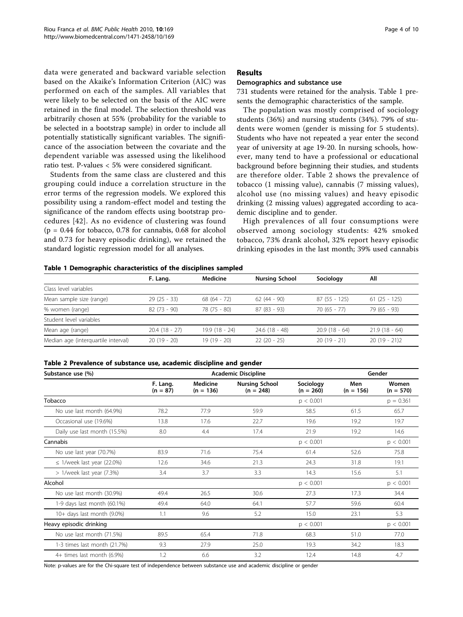<span id="page-3-0"></span>data were generated and backward variable selection based on the Akaike's Information Criterion (AIC) was performed on each of the samples. All variables that were likely to be selected on the basis of the AIC were retained in the final model. The selection threshold was arbitrarily chosen at 55% (probability for the variable to be selected in a bootstrap sample) in order to include all potentially statistically significant variables. The significance of the association between the covariate and the dependent variable was assessed using the likelihood ratio test. P-values < 5% were considered significant.

Students from the same class are clustered and this grouping could induce a correlation structure in the error terms of the regression models. We explored this possibility using a random-effect model and testing the significance of the random effects using bootstrap procedures [[42](#page-9-0)]. As no evidence of clustering was found  $(p = 0.44$  for tobacco, 0.78 for cannabis, 0.68 for alcohol and 0.73 for heavy episodic drinking), we retained the standard logistic regression model for all analyses.

#### Results

#### Demographics and substance use

731 students were retained for the analysis. Table 1 presents the demographic characteristics of the sample.

The population was mostly comprised of sociology students (36%) and nursing students (34%). 79% of students were women (gender is missing for 5 students). Students who have not repeated a year enter the second year of university at age 19-20. In nursing schools, however, many tend to have a professional or educational background before beginning their studies, and students are therefore older. Table 2 shows the prevalence of tobacco (1 missing value), cannabis (7 missing values), alcohol use (no missing values) and heavy episodic drinking (2 missing values) aggregated according to academic discipline and to gender.

High prevalences of all four consumptions were observed among sociology students: 42% smoked tobacco, 73% drank alcohol, 32% report heavy episodic drinking episodes in the last month; 39% used cannabis

#### Table 1 Demographic characteristics of the disciplines sampled

|                                     | F. Lang.        | Medicine       | <b>Nursing School</b> | Sociology       | All             |
|-------------------------------------|-----------------|----------------|-----------------------|-----------------|-----------------|
| Class level variables               |                 |                |                       |                 |                 |
| Mean sample size (range)            | $29(25 - 33)$   | $68(64 - 72)$  | $62(44 - 90)$         | $87(55 - 125)$  | $61(25 - 125)$  |
| % women (range)                     | $82(73 - 90)$   | 78 (75 - 80)   | $87(83 - 93)$         | $70(65 - 77)$   | 79 (65 - 93)    |
| Student level variables             |                 |                |                       |                 |                 |
| Mean age (range)                    | $20.4(18 - 27)$ | 19.9 (18 - 24) | 24.6 (18 - 48)        | $20.9(18 - 64)$ | $21.9(18 - 64)$ |
| Median age (interguartile interval) | $20(19 - 20)$   | $19(19 - 20)$  | $22(20 - 25)$         | $20(19 - 21)$   | $20(19 - 21)2$  |

#### Table 2 Prevalence of substance use, academic discipline and gender

| Substance use (%)               |                        | Academic Discipline            | Gender                               |                          |                    |                      |
|---------------------------------|------------------------|--------------------------------|--------------------------------------|--------------------------|--------------------|----------------------|
|                                 | F. Lang.<br>$(n = 87)$ | <b>Medicine</b><br>$(n = 136)$ | <b>Nursing School</b><br>$(n = 248)$ | Sociology<br>$(n = 260)$ | Men<br>$(n = 156)$ | Women<br>$(n = 570)$ |
| Tobacco                         |                        |                                |                                      | p < 0.001                |                    | $p = 0.361$          |
| No use last month (64.9%)       | 78.2                   | 77.9                           | 59.9                                 | 58.5                     | 61.5               | 65.7                 |
| Occasional use (19.6%)          | 13.8                   | 17.6                           | 22.7                                 | 19.6                     | 19.2               | 19.7                 |
| Daily use last month (15.5%)    | 8.0                    | 4.4                            | 17.4                                 | 21.9                     | 19.2               | 14.6                 |
| Cannabis                        |                        |                                |                                      | p < 0.001                |                    | p < 0.001            |
| No use last year (70.7%)        | 83.9                   | 71.6                           | 75.4                                 | 61.4                     | 52.6               | 75.8                 |
| $\leq$ 1/week last year (22.0%) | 12.6                   | 34.6                           | 21.3                                 | 24.3                     | 31.8               | 19.1                 |
| > 1/week last year (7.3%)       | 3.4                    | 3.7                            | 3.3                                  | 14.3                     | 15.6               | 5.1                  |
| Alcohol                         |                        |                                |                                      | p < 0.001                |                    | p < 0.001            |
| No use last month (30.9%)       | 49.4                   | 26.5                           | 30.6                                 | 27.3                     | 17.3               | 34.4                 |
| 1-9 days last month (60.1%)     | 49.4                   | 64.0                           | 64.1                                 | 57.7                     | 59.6               | 60.4                 |
| 10+ days last month (9.0%)      | 1.1                    | 9.6                            | 5.2                                  | 15.0                     | 23.1               | 5.3                  |
| Heavy episodic drinking         |                        |                                |                                      | p < 0.001                |                    | p < 0.001            |
| No use last month (71.5%)       | 89.5                   | 65.4                           | 71.8                                 | 68.3                     | 51.0               | 77.0                 |
| 1-3 times last month (21.7%)    | 9.3                    | 27.9                           | 25.0                                 | 19.3                     | 34.2               | 18.3                 |
| 4+ times last month (6.9%)      | 1.2                    | 6.6                            | 3.2                                  | 12.4                     | 14.8               | 4.7                  |

Note: p-values are for the Chi-square test of independence between substance use and academic discipline or gender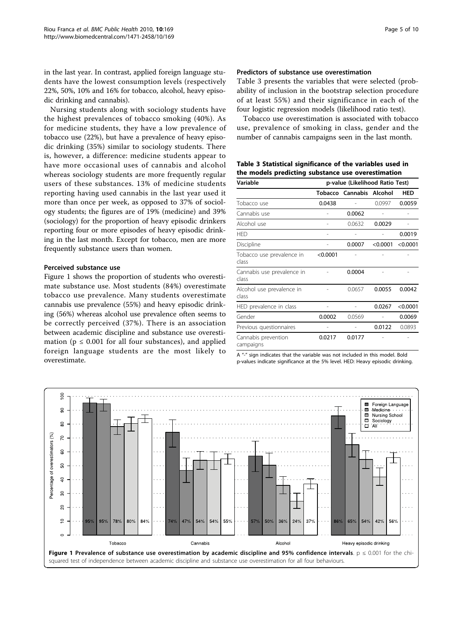in the last year. In contrast, applied foreign language students have the lowest consumption levels (respectively 22%, 50%, 10% and 16% for tobacco, alcohol, heavy episodic drinking and cannabis).

Nursing students along with sociology students have the highest prevalences of tobacco smoking (40%). As for medicine students, they have a low prevalence of tobacco use (22%), but have a prevalence of heavy episodic drinking (35%) similar to sociology students. There is, however, a difference: medicine students appear to have more occasional uses of cannabis and alcohol whereas sociology students are more frequently regular users of these substances. 13% of medicine students reporting having used cannabis in the last year used it more than once per week, as opposed to 37% of sociology students; the figures are of 19% (medicine) and 39% (sociology) for the proportion of heavy episodic drinkers reporting four or more episodes of heavy episodic drinking in the last month. Except for tobacco, men are more frequently substance users than women.

## Perceived substance use

Figure 1 shows the proportion of students who overestimate substance use. Most students (84%) overestimate tobacco use prevalence. Many students overestimate cannabis use prevalence (55%) and heavy episodic drinking (56%) whereas alcohol use prevalence often seems to be correctly perceived (37%). There is an association between academic discipline and substance use overestimation ( $p \leq 0.001$  for all four substances), and applied foreign language students are the most likely to overestimate.

## Predictors of substance use overestimation

Table 3 presents the variables that were selected (probability of inclusion in the bootstrap selection procedure of at least 55%) and their significance in each of the four logistic regression models (likelihood ratio test).

Tobacco use overestimation is associated with tobacco use, prevalence of smoking in class, gender and the number of cannabis campaigns seen in the last month.

|  |  | Table 3 Statistical significance of the variables used in |  |  |  |
|--|--|-----------------------------------------------------------|--|--|--|
|  |  | the models predicting substance use overestimation        |  |  |  |

| Variable                            | p-value (Likelihood Ratio Test) |                          |          |          |  |  |  |
|-------------------------------------|---------------------------------|--------------------------|----------|----------|--|--|--|
|                                     |                                 | Tobacco Cannabis Alcohol |          | HED      |  |  |  |
| Tobacco use                         | 0.0438                          |                          | 0.0997   | 0.0059   |  |  |  |
| Cannabis use                        |                                 | 0.0062                   |          |          |  |  |  |
| Alcohol use                         |                                 | 0.0632                   | 0.0029   |          |  |  |  |
| HFD                                 |                                 |                          |          | 0.0019   |  |  |  |
| Discipline                          |                                 | 0.0007                   | < 0.0001 | < 0.0001 |  |  |  |
| Tobacco use prevalence in<br>class  | < 0.0001                        |                          |          |          |  |  |  |
| Cannabis use prevalence in<br>class |                                 | 0.0004                   |          |          |  |  |  |
| Alcohol use prevalence in<br>class  |                                 | 0.0657                   | 0.0055   | 0.0042   |  |  |  |
| HED prevalence in class             |                                 |                          | 0.0267   | < 0.0001 |  |  |  |
| Gender                              | 0.0002                          | 0.0569                   |          | 0.0069   |  |  |  |
| Previous questionnaires             |                                 |                          | 0.0122   | 0.0893   |  |  |  |
| Cannabis prevention<br>campaigns    | 0.0217                          | 0.0177                   |          |          |  |  |  |

A "-" sign indicates that the variable was not included in this model. Bold p-values indicate significance at the 5% level. HED: Heavy episodic drinking.

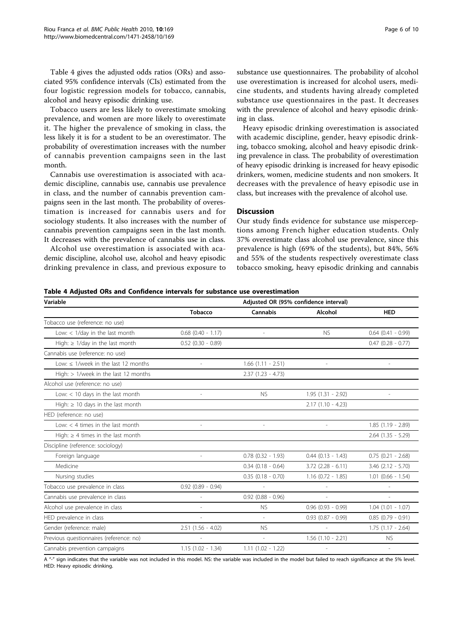Table 4 gives the adjusted odds ratios (ORs) and associated 95% confidence intervals (CIs) estimated from the four logistic regression models for tobacco, cannabis, alcohol and heavy episodic drinking use.

Tobacco users are less likely to overestimate smoking prevalence, and women are more likely to overestimate it. The higher the prevalence of smoking in class, the less likely it is for a student to be an overestimator. The probability of overestimation increases with the number of cannabis prevention campaigns seen in the last month.

Cannabis use overestimation is associated with academic discipline, cannabis use, cannabis use prevalence in class, and the number of cannabis prevention campaigns seen in the last month. The probability of overestimation is increased for cannabis users and for sociology students. It also increases with the number of cannabis prevention campaigns seen in the last month. It decreases with the prevalence of cannabis use in class.

Alcohol use overestimation is associated with academic discipline, alcohol use, alcohol and heavy episodic drinking prevalence in class, and previous exposure to substance use questionnaires. The probability of alcohol use overestimation is increased for alcohol users, medicine students, and students having already completed substance use questionnaires in the past. It decreases with the prevalence of alcohol and heavy episodic drinking in class.

Heavy episodic drinking overestimation is associated with academic discipline, gender, heavy episodic drinking, tobacco smoking, alcohol and heavy episodic drinking prevalence in class. The probability of overestimation of heavy episodic drinking is increased for heavy episodic drinkers, women, medicine students and non smokers. It decreases with the prevalence of heavy episodic use in class, but increases with the prevalence of alcohol use.

## **Discussion**

Our study finds evidence for substance use misperceptions among French higher education students. Only 37% overestimate class alcohol use prevalence, since this prevalence is high (69% of the students), but 84%, 56% and 55% of the students respectively overestimate class tobacco smoking, heavy episodic drinking and cannabis

| Table 4 Adjusted ORs and Confidence intervals for substance use overestimation |  |  |  |  |
|--------------------------------------------------------------------------------|--|--|--|--|
|--------------------------------------------------------------------------------|--|--|--|--|

| Variable                                 | Adjusted OR (95% confidence interval) |                          |                          |                          |  |  |  |
|------------------------------------------|---------------------------------------|--------------------------|--------------------------|--------------------------|--|--|--|
|                                          | <b>Tobacco</b>                        | Cannabis                 | Alcohol                  | <b>HED</b>               |  |  |  |
| Tobacco use (reference: no use)          |                                       |                          |                          |                          |  |  |  |
| Low: $<$ 1/day in the last month         | $0.68$ (0.40 - 1.17)                  |                          | NS.                      | $0.64$ $(0.41 - 0.99)$   |  |  |  |
| High: $\geq$ 1/day in the last month     | $0.52$ (0.30 - 0.89)                  |                          |                          | $0.47$ $(0.28 - 0.77)$   |  |  |  |
| Cannabis use (reference: no use)         |                                       |                          |                          |                          |  |  |  |
| Low: $\leq$ 1/week in the last 12 months |                                       | $1.66$ $(1.11 - 2.51)$   |                          |                          |  |  |  |
| High: $> 1$ /week in the last 12 months  |                                       | $2.37(1.23 - 4.73)$      |                          |                          |  |  |  |
| Alcohol use (reference: no use)          |                                       |                          |                          |                          |  |  |  |
| Low: $<$ 10 days in the last month       | $\sim$                                | <b>NS</b>                | $1.95(1.31 - 2.92)$      |                          |  |  |  |
| High: $\geq 10$ days in the last month   |                                       |                          | $2.17(1.10 - 4.23)$      |                          |  |  |  |
| HED (reference: no use)                  |                                       |                          |                          |                          |  |  |  |
| Low: $<$ 4 times in the last month       | ÷                                     |                          | $\sim$                   | $1.85(1.19 - 2.89)$      |  |  |  |
| High: $\geq 4$ times in the last month   |                                       |                          |                          | $2.64$ (1.35 - 5.29)     |  |  |  |
| Discipline (reference: sociology)        |                                       |                          |                          |                          |  |  |  |
| Foreign language                         |                                       | $0.78$ $(0.32 - 1.93)$   | $0.44$ $(0.13 - 1.43)$   | $0.75$ $(0.21 - 2.68)$   |  |  |  |
| Medicine                                 |                                       | $0.34$ (0.18 - 0.64)     | $3.72$ (2.28 - 6.11)     | $3.46$ $(2.12 - 5.70)$   |  |  |  |
| Nursing studies                          |                                       | $0.35$ $(0.18 - 0.70)$   | $1.16$ (0.72 - 1.85)     | $1.01$ $(0.66 - 1.54)$   |  |  |  |
| Tobacco use prevalence in class          | $0.92$ $(0.89 - 0.94)$                |                          |                          |                          |  |  |  |
| Cannabis use prevalence in class         |                                       | $0.92$ (0.88 - 0.96)     | $\overline{\phantom{a}}$ | ×.                       |  |  |  |
| Alcohol use prevalence in class          |                                       | <b>NS</b>                | $0.96$ (0.93 - 0.99)     | $1.04$ $(1.01 - 1.07)$   |  |  |  |
| HED prevalence in class                  | ÷.                                    |                          | $0.93$ $(0.87 - 0.99)$   | $0.85$ $(0.79 - 0.91)$   |  |  |  |
| Gender (reference: male)                 | $2.51$ $(1.56 - 4.02)$                | <b>NS</b>                |                          | $1.75(1.17 - 2.64)$      |  |  |  |
| Previous questionnaires (reference: no)  |                                       | $\overline{\phantom{a}}$ | $1.56$ $(1.10 - 2.21)$   | <b>NS</b>                |  |  |  |
| Cannabis prevention campaigns            | $1.15(1.02 - 1.34)$                   | $1.11(1.02 - 1.22)$      |                          | $\overline{\phantom{a}}$ |  |  |  |

A "-" sign indicates that the variable was not included in this model. NS: the variable was included in the model but failed to reach significance at the 5% level. HED: Heavy episodic drinking.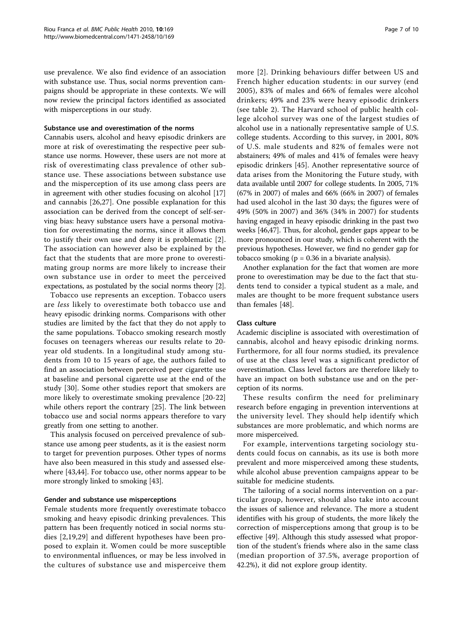use prevalence. We also find evidence of an association with substance use. Thus, social norms prevention campaigns should be appropriate in these contexts. We will now review the principal factors identified as associated with misperceptions in our study.

## Substance use and overestimation of the norms

Cannabis users, alcohol and heavy episodic drinkers are more at risk of overestimating the respective peer substance use norms. However, these users are not more at risk of overestimating class prevalence of other substance use. These associations between substance use and the misperception of its use among class peers are in agreement with other studies focusing on alcohol [[17](#page-9-0)] and cannabis [[26,27\]](#page-9-0). One possible explanation for this association can be derived from the concept of self-serving bias: heavy substance users have a personal motivation for overestimating the norms, since it allows them to justify their own use and deny it is problematic [[2](#page-8-0)]. The association can however also be explained by the fact that the students that are more prone to overestimating group norms are more likely to increase their own substance use in order to meet the perceived expectations, as postulated by the social norms theory [[2](#page-8-0)].

Tobacco use represents an exception. Tobacco users are less likely to overestimate both tobacco use and heavy episodic drinking norms. Comparisons with other studies are limited by the fact that they do not apply to the same populations. Tobacco smoking research mostly focuses on teenagers whereas our results relate to 20 year old students. In a longitudinal study among students from 10 to 15 years of age, the authors failed to find an association between perceived peer cigarette use at baseline and personal cigarette use at the end of the study [[30](#page-9-0)]. Some other studies report that smokers are more likely to overestimate smoking prevalence [[20-22](#page-9-0)] while others report the contrary [[25\]](#page-9-0). The link between tobacco use and social norms appears therefore to vary greatly from one setting to another.

This analysis focused on perceived prevalence of substance use among peer students, as it is the easiest norm to target for prevention purposes. Other types of norms have also been measured in this study and assessed elsewhere [\[43,44\]](#page-9-0). For tobacco use, other norms appear to be more strongly linked to smoking [\[43\]](#page-9-0).

#### Gender and substance use misperceptions

Female students more frequently overestimate tobacco smoking and heavy episodic drinking prevalences. This pattern has been frequently noticed in social norms studies [[2](#page-8-0),[19,29](#page-9-0)] and different hypotheses have been proposed to explain it. Women could be more susceptible to environmental influences, or may be less involved in the cultures of substance use and misperceive them more [[2](#page-8-0)]. Drinking behaviours differ between US and French higher education students: in our survey (end 2005), 83% of males and 66% of females were alcohol drinkers; 49% and 23% were heavy episodic drinkers (see table [2\)](#page-3-0). The Harvard school of public health college alcohol survey was one of the largest studies of alcohol use in a nationally representative sample of U.S. college students. According to this survey, in 2001, 80% of U.S. male students and 82% of females were not abstainers; 49% of males and 41% of females were heavy episodic drinkers [\[45](#page-9-0)]. Another representative source of data arises from the Monitoring the Future study, with data available until 2007 for college students. In 2005, 71% (67% in 2007) of males and 66% (66% in 2007) of females had used alcohol in the last 30 days; the figures were of 49% (50% in 2007) and 36% (34% in 2007) for students having engaged in heavy episodic drinking in the past two weeks [[46,47](#page-9-0)]. Thus, for alcohol, gender gaps appear to be more pronounced in our study, which is coherent with the previous hypotheses. However, we find no gender gap for tobacco smoking ( $p = 0.36$  in a bivariate analysis).

Another explanation for the fact that women are more prone to overestimation may be due to the fact that students tend to consider a typical student as a male, and males are thought to be more frequent substance users than females [[48\]](#page-9-0).

## Class culture

Academic discipline is associated with overestimation of cannabis, alcohol and heavy episodic drinking norms. Furthermore, for all four norms studied, its prevalence of use at the class level was a significant predictor of overestimation. Class level factors are therefore likely to have an impact on both substance use and on the perception of its norms.

These results confirm the need for preliminary research before engaging in prevention interventions at the university level. They should help identify which substances are more problematic, and which norms are more misperceived.

For example, interventions targeting sociology students could focus on cannabis, as its use is both more prevalent and more misperceived among these students, while alcohol abuse prevention campaigns appear to be suitable for medicine students.

The tailoring of a social norms intervention on a particular group, however, should also take into account the issues of salience and relevance. The more a student identifies with his group of students, the more likely the correction of misperceptions among that group is to be effective [[49](#page-9-0)]. Although this study assessed what proportion of the student's friends where also in the same class (median proportion of 37.5%, average proportion of 42.2%), it did not explore group identity.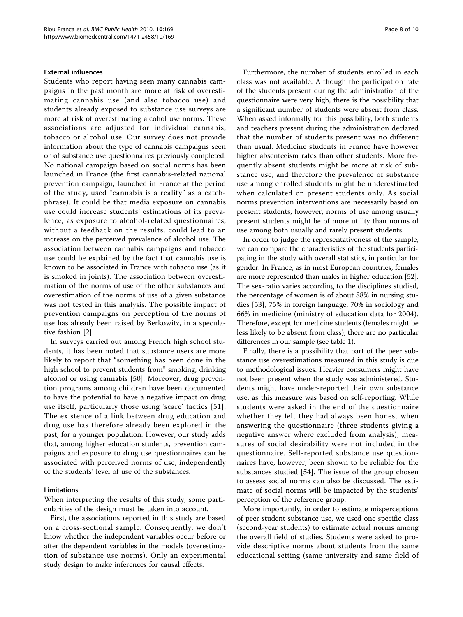#### External influences

Students who report having seen many cannabis campaigns in the past month are more at risk of overestimating cannabis use (and also tobacco use) and students already exposed to substance use surveys are more at risk of overestimating alcohol use norms. These associations are adjusted for individual cannabis, tobacco or alcohol use. Our survey does not provide information about the type of cannabis campaigns seen or of substance use questionnaires previously completed. No national campaign based on social norms has been launched in France (the first cannabis-related national prevention campaign, launched in France at the period of the study, used "cannabis is a reality" as a catchphrase). It could be that media exposure on cannabis use could increase students' estimations of its prevalence, as exposure to alcohol-related questionnaires, without a feedback on the results, could lead to an increase on the perceived prevalence of alcohol use. The association between cannabis campaigns and tobacco use could be explained by the fact that cannabis use is known to be associated in France with tobacco use (as it is smoked in joints). The association between overestimation of the norms of use of the other substances and overestimation of the norms of use of a given substance was not tested in this analysis. The possible impact of prevention campaigns on perception of the norms of use has already been raised by Berkowitz, in a speculative fashion [\[2](#page-8-0)].

In surveys carried out among French high school students, it has been noted that substance users are more likely to report that "something has been done in the high school to prevent students from" smoking, drinking alcohol or using cannabis [[50\]](#page-9-0). Moreover, drug prevention programs among children have been documented to have the potential to have a negative impact on drug use itself, particularly those using 'scare' tactics [[51\]](#page-9-0). The existence of a link between drug education and drug use has therefore already been explored in the past, for a younger population. However, our study adds that, among higher education students, prevention campaigns and exposure to drug use questionnaires can be associated with perceived norms of use, independently of the students' level of use of the substances.

#### Limitations

When interpreting the results of this study, some particularities of the design must be taken into account.

First, the associations reported in this study are based on a cross-sectional sample. Consequently, we don't know whether the independent variables occur before or after the dependent variables in the models (overestimation of substance use norms). Only an experimental study design to make inferences for causal effects.

Furthermore, the number of students enrolled in each class was not available. Although the participation rate of the students present during the administration of the questionnaire were very high, there is the possibility that a significant number of students were absent from class. When asked informally for this possibility, both students and teachers present during the administration declared that the number of students present was no different than usual. Medicine students in France have however higher absenteeism rates than other students. More frequently absent students might be more at risk of substance use, and therefore the prevalence of substance use among enrolled students might be underestimated when calculated on present students only. As social norms prevention interventions are necessarily based on present students, however, norms of use among usually present students might be of more utility than norms of use among both usually and rarely present students.

In order to judge the representativeness of the sample, we can compare the characteristics of the students participating in the study with overall statistics, in particular for gender. In France, as in most European countries, females are more represented than males in higher education [[52](#page-9-0)]. The sex-ratio varies according to the disciplines studied, the percentage of women is of about 88% in nursing studies [\[53](#page-9-0)], 75% in foreign language, 70% in sociology and 66% in medicine (ministry of education data for 2004). Therefore, except for medicine students (females might be less likely to be absent from class), there are no particular differences in our sample (see table [1](#page-3-0)).

Finally, there is a possibility that part of the peer substance use overestimations measured in this study is due to methodological issues. Heavier consumers might have not been present when the study was administered. Students might have under-reported their own substance use, as this measure was based on self-reporting. While students were asked in the end of the questionnaire whether they felt they had always been honest when answering the questionnaire (three students giving a negative answer where excluded from analysis), measures of social desirability were not included in the questionnaire. Self-reported substance use questionnaires have, however, been shown to be reliable for the substances studied [\[54](#page-9-0)]. The issue of the group chosen to assess social norms can also be discussed. The estimate of social norms will be impacted by the students' perception of the reference group.

More importantly, in order to estimate misperceptions of peer student substance use, we used one specific class (second-year students) to estimate actual norms among the overall field of studies. Students were asked to provide descriptive norms about students from the same educational setting (same university and same field of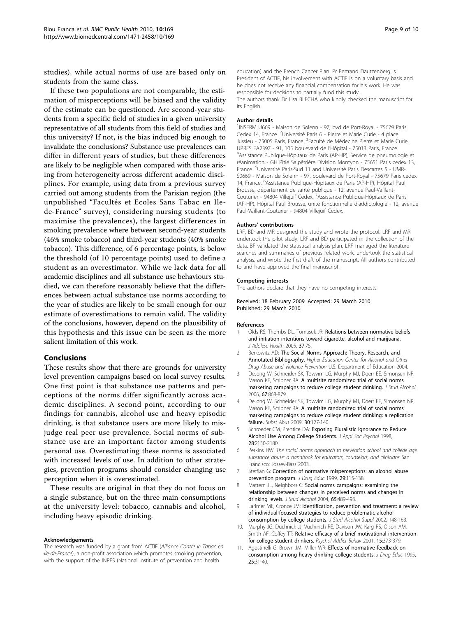<span id="page-8-0"></span>studies), while actual norms of use are based only on students from the same class.

If these two populations are not comparable, the estimation of misperceptions will be biased and the validity of the estimate can be questioned. Are second-year students from a specific field of studies in a given university representative of all students from this field of studies and this university? If not, is the bias induced big enough to invalidate the conclusions? Substance use prevalences can differ in different years of studies, but these differences are likely to be negligible when compared with those arising from heterogeneity across different academic disciplines. For example, using data from a previous survey carried out among students from the Parisian region (the unpublished "Facultés et Ecoles Sans Tabac en Ilede-France" survey), considering nursing students (to maximise the prevalences), the largest differences in smoking prevalence where between second-year students (46% smoke tobacco) and third-year students (40% smoke tobacco). This difference, of 6 percentage points, is below the threshold (of 10 percentage points) used to define a student as an overestimator. While we lack data for all academic disciplines and all substance use behaviours studied, we can therefore reasonably believe that the differences between actual substance use norms according to the year of studies are likely to be small enough for our estimate of overestimations to remain valid. The validity of the conclusions, however, depend on the plausibility of this hypothesis and this issue can be seen as the more salient limitation of this work.

#### Conclusions

These results show that there are grounds for university level prevention campaigns based on local survey results. One first point is that substance use patterns and perceptions of the norms differ significantly across academic disciplines. A second point, according to our findings for cannabis, alcohol use and heavy episodic drinking, is that substance users are more likely to misjudge real peer use prevalence. Social norms of substance use are an important factor among students personal use. Overestimating these norms is associated with increased levels of use. In addition to other strategies, prevention programs should consider changing use perception when it is overestimated.

These results are original in that they do not focus on a single substance, but on the three main consumptions at the university level: tobacco, cannabis and alcohol, including heavy episodic drinking.

#### Acknowledgements

The research was funded by a grant from ACTIF (Alliance Contre le Tabac en Île-de-France), a non-profit association which promotes smoking prevention, with the support of the INPES (National institute of prevention and health

education) and the French Cancer Plan. Pr Bertrand Dautzenberg is President of ACTIF, his involvement with ACTIF is on a voluntary basis and he does not receive any financial compensation for his work. He was responsible for decisions to partially fund this study.

The authors thank Dr Lisa BLECHA who kindly checked the manuscript for its English.

#### Author details

<sup>1</sup>INSERM U669 - Maison de Solenn - 97, bvd de Port-Royal - 75679 Paris Cedex 14, France. <sup>2</sup>Université Paris 6 - Pierre et Marie Curie - 4 place Jussieu - 75005 Paris, France. <sup>3</sup>Faculté de Médecine Pierre et Marie Curie UPRES EA2397 - 91, 105 boulevard de l'Hôpital - 75013 Paris, France. Assistance Publique-Hôpitaux de Paris (AP-HP), Service de pneumologie et réanimation - GH Pitié Salpêtrière Division Montyon - 75651 Paris cedex 13, France. <sup>5</sup>Université Paris-Sud 11 and Université Paris Descartes 5 - UMR-S0669 - Maison de Solenn - 97, boulevard de Port-Royal - 75679 Paris cedex 14, France. <sup>6</sup>Assistance Publique-Hôpitaux de Paris (AP-HP), Hôpital Paul Brousse, département de santé publique - 12, avenue Paul-Vaillant-Couturier - 94804 Villejuif Cedex. <sup>7</sup> Assistance Publique-Hôpitaux de Paris (AP-HP), Hôpital Paul Brousse, unité fonctionnelle d'addictologie - 12, avenue Paul-Vaillant-Couturier - 94804 Villejuif Cedex.

#### Authors' contributions

LRF, BD and MR designed the study and wrote the protocol. LRF and MR undertook the pilot study. LRF and BD participated in the collection of the data. BF validated the statistical analysis plan. LRF managed the literature searches and summaries of previous related work, undertook the statistical analysis, and wrote the first draft of the manuscript. All authors contributed to and have approved the final manuscript.

#### Competing interests

The authors declare that they have no competing interests.

Received: 18 February 2009 Accepted: 29 March 2010 Published: 29 March 2010

#### References

- 1. Olds RS, Thombs DL, Tomasek JR: [Relations between normative beliefs](http://www.ncbi.nlm.nih.gov/pubmed/15963910?dopt=Abstract) [and initiation intentions toward cigarette, alcohol and marijuana.](http://www.ncbi.nlm.nih.gov/pubmed/15963910?dopt=Abstract) J Adolesc Health 2005, 37:75.
- 2. Berkowitz AD: The Social Norms Approach: Theory, Research, and Annotated Bibliography. Higher Education Center for Alcohol and Other Drug Abuse and Violence Prevention U.S. Department of Education 2004.
- 3. DeJong W, Schneider SK, Towvim LG, Murphy MJ, Doerr EE, Simonsen NR, Mason KE, Scribner RA: [A multisite randomized trial of social norms](http://www.ncbi.nlm.nih.gov/pubmed/17061004?dopt=Abstract) [marketing campaigns to reduce college student drinking.](http://www.ncbi.nlm.nih.gov/pubmed/17061004?dopt=Abstract) J Stud Alcohol 2006, 67:868-879.
- 4. DeJong W, Schneider SK, Towvim LG, Murphy MJ, Doerr EE, Simonsen NR, Mason KE, Scribner RA: [A multisite randomized trial of social norms](http://www.ncbi.nlm.nih.gov/pubmed/19347752?dopt=Abstract) [marketing campaigns to reduce college student drinking: a replication](http://www.ncbi.nlm.nih.gov/pubmed/19347752?dopt=Abstract) [failure.](http://www.ncbi.nlm.nih.gov/pubmed/19347752?dopt=Abstract) Subst Abus 2009, 30:127-140.
- 5. Schroeder CM, Prentice DA: Exposing Pluralistic Ignorance to Reduce Alcohol Use Among College Students. J Appl Soc Psychol 1998, 28:2150-2180.
- 6. Perkins HW: The social norms approach to prevention school and college age substance abuse: a handbook for educators, counselors, and clinicians San Francisco: Jossey-Bass 2003.
- 7. Steffian G: [Correction of normative misperceptions: an alcohol abuse](http://www.ncbi.nlm.nih.gov/pubmed/10429354?dopt=Abstract) [prevention program.](http://www.ncbi.nlm.nih.gov/pubmed/10429354?dopt=Abstract) J Drug Educ 1999, 29:115-138.
- 8. Mattern JL, Neighbors C: [Social norms campaigns: examining the](http://www.ncbi.nlm.nih.gov/pubmed/15376823?dopt=Abstract) [relationship between changes in perceived norms and changes in](http://www.ncbi.nlm.nih.gov/pubmed/15376823?dopt=Abstract) [drinking levels.](http://www.ncbi.nlm.nih.gov/pubmed/15376823?dopt=Abstract) J Stud Alcohol 2004, 65:489-493.
- 9. Larimer ME, Cronce JM: [Identification, prevention and treatment: a review](http://www.ncbi.nlm.nih.gov/pubmed/12022721?dopt=Abstract) [of individual-focused strategies to reduce problematic alcohol](http://www.ncbi.nlm.nih.gov/pubmed/12022721?dopt=Abstract) [consumption by college students.](http://www.ncbi.nlm.nih.gov/pubmed/12022721?dopt=Abstract) J Stud Alcohol Suppl 2002, 148-163.
- 10. Murphy JG, Duchnick JJ, Vuchinich RE, Davison JW, Karg RS, Olson AM, Smith AF, Coffey TT: [Relative efficacy of a brief motivational intervention](http://www.ncbi.nlm.nih.gov/pubmed/11767271?dopt=Abstract) [for college student drinkers.](http://www.ncbi.nlm.nih.gov/pubmed/11767271?dopt=Abstract) Psychol Addict Behav 2001, 15:373-379.
- 11. Agostinelli G, Brown JM, Miller WR: [Effects of normative feedback on](http://www.ncbi.nlm.nih.gov/pubmed/7776148?dopt=Abstract) [consumption among heavy drinking college students.](http://www.ncbi.nlm.nih.gov/pubmed/7776148?dopt=Abstract) J Drug Educ 1995, 25:31-40.